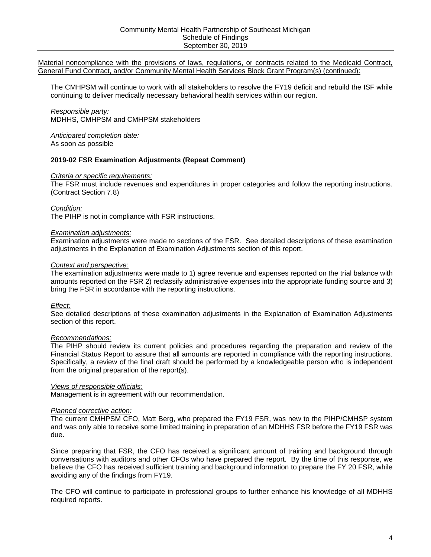**Report on Compliance**

# **Community Mental Health Partnership of Southeast Michigan**

*September 30, 2019*

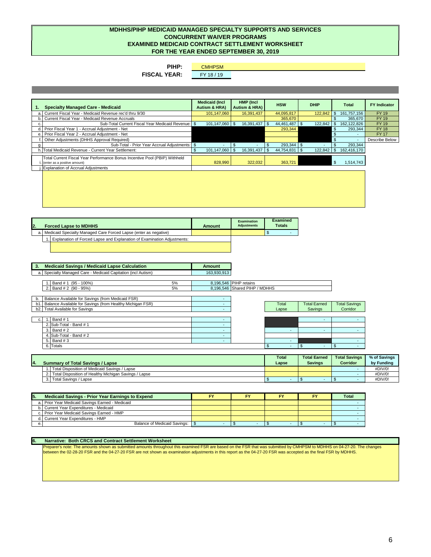

# **INDEPENDENT ACCOUNTANT'S REPORT ON COMPLIANCE**

To the Members of the Board Community Mental Health Partnership of Southeast Michigan Ann Arbor, Michigan

# **Report On Compliance**

We have examined Community Mental Health Partnership of Southeast Michigan's (the PIHP) compliance with the requirements described in the *Compliance Examination Guidelines* issued by Michigan Department of Health and Human Services that are applicable to its Medicaid Contract, General Fund (GF) Contract, Community Mental Health Services (CMHS) Block Grant, and Substance Abuse Prevention and Treatment (SAPT) Block Grant programs for the year ended September 30, 2019.

# **Management's Responsibility**

Management is responsible for compliance with the requirements of laws, regulations, contracts, and grants applicable to its Medicaid Contract, GF Contract, CMHS Block Grant, and SAPT Block Grant programs.

# **Independent Accountants' Responsibility**

Our responsibility is to express an opinion on the PIHP's compliance with the Medicaid Contract, GF Contract, CMHS Block Grant, and SAPT Block Grant programs based on our examination of the compliance requirements referred to above.

Our examination of compliance was conducted in accordance with attestation standards established by the American Institute of Certified Public Accountants. Those standards require that we plan and perform the examination to obtain reasonable assurance about whether the PIHP complied, in all material respects, with the compliance requirements referred to above.

An examination involves performing procedures to obtain evidence about the PIHP's compliance with the specified requirements referred to above. The nature, timing, and extent of the procedures selected depend on our judgement, including an assessment of the risk of material noncompliance, whether due to fraud or error.

We believe that the evidence we obtained is sufficient and appropriate to provide a reasonable basis for our opinion. However, our examination does not provide a legal determination of the PIHP's compliance.

# **Basis for Qualified Opinion**

As discussed in the Schedule of Findings as items 2019-01 and 2019-02, our examination disclosed material noncompliance related to the Medicaid Contract during the year ended September 30, 2019.

# **Opinion on Each Program**

In our opinion, except for the material noncompliance noted above, the PIHP complied, in all material respects, with the specified requirements referred to above that are applicable to its Medicaid Contract, GF Contract, CMHS Block Grant, and SAPT Block Grant programs for the year ended September 30, 2019.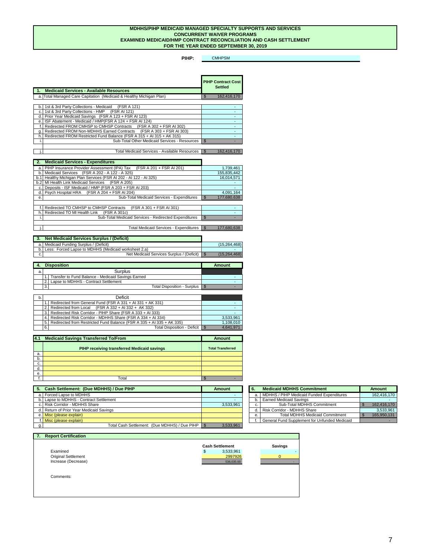# **Purpose of this Report**

This report is intended solely for the information and use of the board and management of the PIHP and the Michigan Department of Health and Human Services, and is not intended to be, and should not be, used by anyone other than these specified parties.

Roslund, Prestage & Company, P.C.

Roslund, Prestage & Company, P.C. Certified Public Accountants

June 29, 2020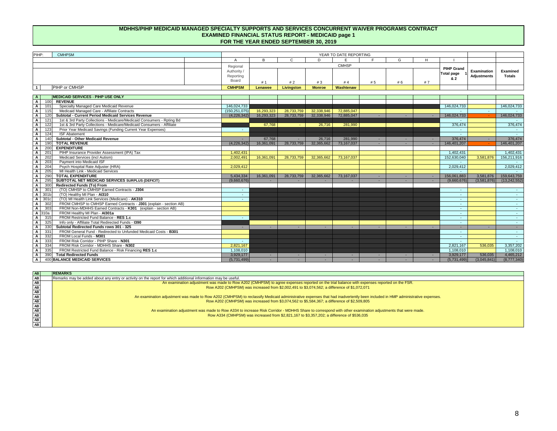Control deficiencies that are individually or cumulatively material weaknesses in internal control over the Medicaid Contract, General Fund Contract, and/or Community Mental Health Services Block Grant Program(s):

None

Material noncompliance with the provisions of laws, regulations, or contracts related to the Medicaid Contract, General Fund Contract, and/or Community Mental Health Services Block Grant Program(s):

# **2019-01 Fiscal Soundness of The Risk-Based PIHP (Repeat Comment)**

# *Criteria or specific requirements:*

Provision *32.0 Fiscal Soundness of The Risk-Based PIHP* states "Federal regulations require that the riskbased PIHPs maintain a fiscally solvent operation and MDHHS has the right to evaluate the ability of the PIHP to bear the risk of potential financial losses, or to perform services based on determinations of payable amounts under the contract." (*Medicaid Contract General Provision 32.0*)

# *Condition:*

Row A400 Balance Medicaid Services (Examined Totals) is \$(8,777,340) and Row AI400 Balance Healthy Michigan Plan Services (Examined Totals) is \$(1,845,157). These total \$10,622,497 which represents the PIHP's portion of the shared risk that is unfunded. The PIHP does not have sufficient resources to manage the local portion of the shared risk and is not fiscally solvent. As a result of this insolvency, the PIHP is not in compliance with General Provision 32.0 of the Medicaid Contract.

# *Examination adjustments:*

None

# *Context and perspective:*

The PIHP has incurred substantial annual deficits in the last three fiscal years. During FY18, the PIHP liquidated its remaining investments in the ISF and \$4,286,744 in local risk remained unfunded as of FY18 year end. The deficit for FY19 was \$15,264,468 of which \$11,730,507 was the local portion of shared risk and \$3,533,961 was the State portion of risk. Since the PIHP liquidated its remaining investments in the ISF during FY18, the PIHP did not have any funds remaining to fund its local risk for FY19.

# *Effect:*

Unable to determine

# *Recommendations:*

The PIHP should work with stakeholders on how to address its annual deficits and the remaining unfunded risk at year end.

# *Views of responsible officials:*

Management is in agreement with this recommendation.

# *Planned corrective action:*

The CMHPSM and its partner CMHSPs have worked hard to contain costs and return the PIHP to the point where it can again make contributions to the ISF. As of this writing, the PIHP anticipates making at least a \$1,500,000 contribution to the ISF at the end of FY 20 and hopes to contribute more. Revenue has increased as FY20 capitation payment rates were re-developed and improved entity specific factors were partially implemented for FY20. The latest information available indicates that the CMHPSM will receive the fully implemented entity specific rate changes in FY21 which will increase our region's rates above FY20 levels.

The CMHPSM and its partner CMHSPs have continued an administrative appeal and legal proceedings related to FY17, FY18 and FY19 Medicaid revenue. The administrative appeal provides details supporting the region not being provided with the revenue necessary to deliver the medically necessary services that individuals are entitled to as eligible Medicaid enrollees. Resolution of the administrative appeal, legal actions and/or a renegotiation of revenue capitation rates will correct the financial status of the CMHPSM.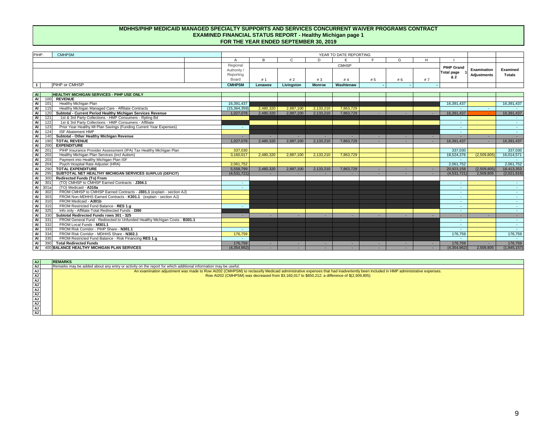Material noncompliance with the provisions of laws, regulations, or contracts related to the Medicaid Contract, General Fund Contract, and/or Community Mental Health Services Block Grant Program(s) (continued):

The CMHPSM will continue to work with all stakeholders to resolve the FY19 deficit and rebuild the ISF while continuing to deliver medically necessary behavioral health services within our region.

#### *Responsible party:*

MDHHS, CMHPSM and CMHPSM stakeholders

# *Anticipated completion date:*

As soon as possible

# **2019-02 FSR Examination Adjustments (Repeat Comment)**

#### *Criteria or specific requirements:*

The FSR must include revenues and expenditures in proper categories and follow the reporting instructions. (Contract Section 7.8)

# *Condition:*

The PIHP is not in compliance with FSR instructions.

#### *Examination adjustments:*

Examination adjustments were made to sections of the FSR. See detailed descriptions of these examination adjustments in the Explanation of Examination Adjustments section of this report.

# *Context and perspective:*

The examination adjustments were made to 1) agree revenue and expenses reported on the trial balance with amounts reported on the FSR 2) reclassify administrative expenses into the appropriate funding source and 3) bring the FSR in accordance with the reporting instructions.

# *Effect:*

See detailed descriptions of these examination adjustments in the Explanation of Examination Adjustments section of this report.

# *Recommendations:*

The PIHP should review its current policies and procedures regarding the preparation and review of the Financial Status Report to assure that all amounts are reported in compliance with the reporting instructions. Specifically, a review of the final draft should be performed by a knowledgeable person who is independent from the original preparation of the report(s).

# *Views of responsible officials:*

Management is in agreement with our recommendation.

#### *Planned corrective action:*

The current CMHPSM CFO, Matt Berg, who prepared the FY19 FSR, was new to the PIHP/CMHSP system and was only able to receive some limited training in preparation of an MDHHS FSR before the FY19 FSR was due.

Since preparing that FSR, the CFO has received a significant amount of training and background through conversations with auditors and other CFOs who have prepared the report. By the time of this response, we believe the CFO has received sufficient training and background information to prepare the FY 20 FSR, while avoiding any of the findings from FY19.

The CFO will continue to participate in professional groups to further enhance his knowledge of all MDHHS required reports.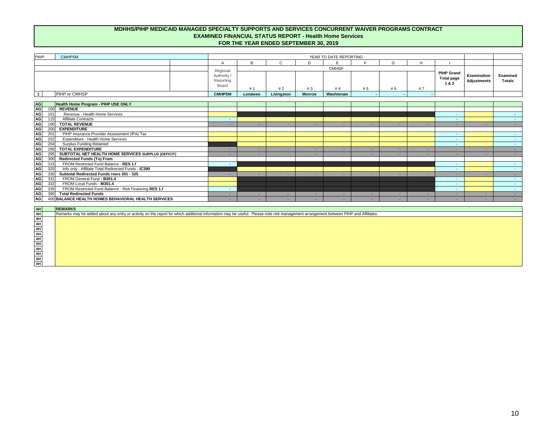Material noncompliance with the provisions of laws, regulations, or contracts related to the Medicaid Contract, General Fund Contract, and/or Community Mental Health Services Block Grant Program(s) (continued):

*Responsible party:*  Matt Berg, CFO

*Anticipated completion date:* June 29, 2020

Known fraud affecting the Medicaid Contract, General Fund Contract, and/or Community Mental Health Services Block Grant Program(s):

None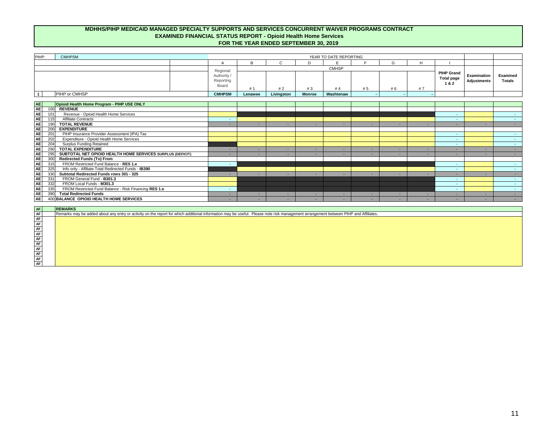# **Examined Financial Status Report – Medicaid**

An examination adjustment was made to Row A202 (CMHPSM) to agree expenses reported on the trial balance with expenses reported on the FSR.

Row A202 (CMHPSM) was increased from \$2,002,491 to \$3,074,562; a difference of \$1,072,071

An examination adjustment was made to Row A202 (CMHPSM) to reclassify Medicaid administrative expenses that had inadvertently been included in HMP administrative expenses.

- Row A202 (CMHPSM) was increased from \$3,074,562 to \$5,584,367; a difference of \$2,509,805

An examination adjustment was made to Row A334 to increase Risk Corridor - MDHHS Share to correspond with other examination adjustments that were made.

- Row A334 (CMHPSM) was increased from \$2,821,167 to \$3,357,202; a difference of \$536,035

# **Examined Financial Status Report – Healthy Michigan**

An examination adjustment was made to Row AI202 (CMHPSM) to reclassify Medicaid administrative expenses that had inadvertently been included in HMP administrative expenses.

- Row AI202 (CMHPSM) was decreased from \$3,160,017 to \$650,212; a difference of \$(2,509,805)

# **Examined Financial Status Report – Substance Use Disorder Services**

An examination adjustment was made to Row AC201 (CMHPSM) to agree expenses reported on the trial balance with expenses reported on the FSR.

- Row AC201 (CMHPSM) was decreased from \$7,340,328 to \$6,292,678; a difference of \$1,047,650

An examination adjustment was made to agree the PIHP FSR with a resubmitted CMHSP FSR (not shown as an examination adjustment on Livingston's compliance report)

- Row AC115 (Livingston) was increased from \$875,472 to \$875,742; a difference of \$270
- Row AC201 (Livingston) was increased from \$875,472 to \$875,742; a difference of \$270

# **Examined Supplemental Financial Status Report – SUD Services**

An examination adjustment was made to the SUD Supplemental to agree revenue and expenses reported on the trial balance with amounts reported on the FSR.

- Row A1.c (Treatment) was increased from \$3,221,251 to \$3,221,521; a difference of \$270
- Row A5 (STR GY2) was increased from \$406,793 to \$457,034; a difference of \$50,241
- Row A6 (Gambling) was decreased from \$95,195 to \$93,051; a difference of \$2,144
- Row D1 (Budgeted Revenue) was increased from \$2,059,226 to \$2,065,596; a difference of \$6,370
- Row D1 (Treatment) was increased from \$1,705,924 to \$1,778,828; a difference of \$72,904
- Row D1 (Prevention) was decreased from \$353,302 to \$286,768; a difference of \$(66,534)

#### **Examined Restricted Fund Balance Activity**

An examination adjustment was made to add the PBIP received during FY19 as Current Period Deposits and Financing.

- Row 1b (PBIP) was increased from \$0 to \$1,108,010; a difference of \$1,108,010
- Row 1c (PBIP) was increased from \$0 to \$(1,108,010); a difference of \$(1,108,010)

# **Examined Shared Risk Calculation and Risk Financing**

An examination adjustment was made to remove the General Fund Redirect shown on Row 2.e. since CMHPSM does not receive any GF funding

Row 2.e was decreased from \$2,997,926 to \$0; a difference of \$(2,997,926).

An examination adjustment was made to Section 3 to correspond with other examination adjustments that were made.

- Row 3.b (State Risk) was increased from \$0 to \$3,357,202; a difference of \$3,357,202
- Row 3.b1 (State Risk) was decreased from \$2,997,926 to \$176,759; a difference of \$(2,821,167)
- Row 3.b (Local Risk) was increased from \$8,196,545 to \$9,885,350; a difference of \$1,688,805
- Row 3.b1 (Local Risk) was decreased from \$2,997,926 to \$1,845,157; a difference of \$(1,152,769)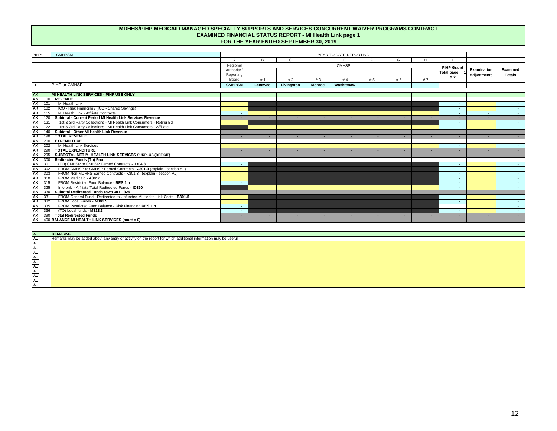# **Examined Financial Status Report – All Non Medicaid**

An examination adjustment was made to Row N103 MDHHS Share of Medicaid Risk Corridor to correspond with other examination adjustments that were made.

- Row N103 was increased from \$2,997,926 to \$3,533,961; a difference of \$536,035